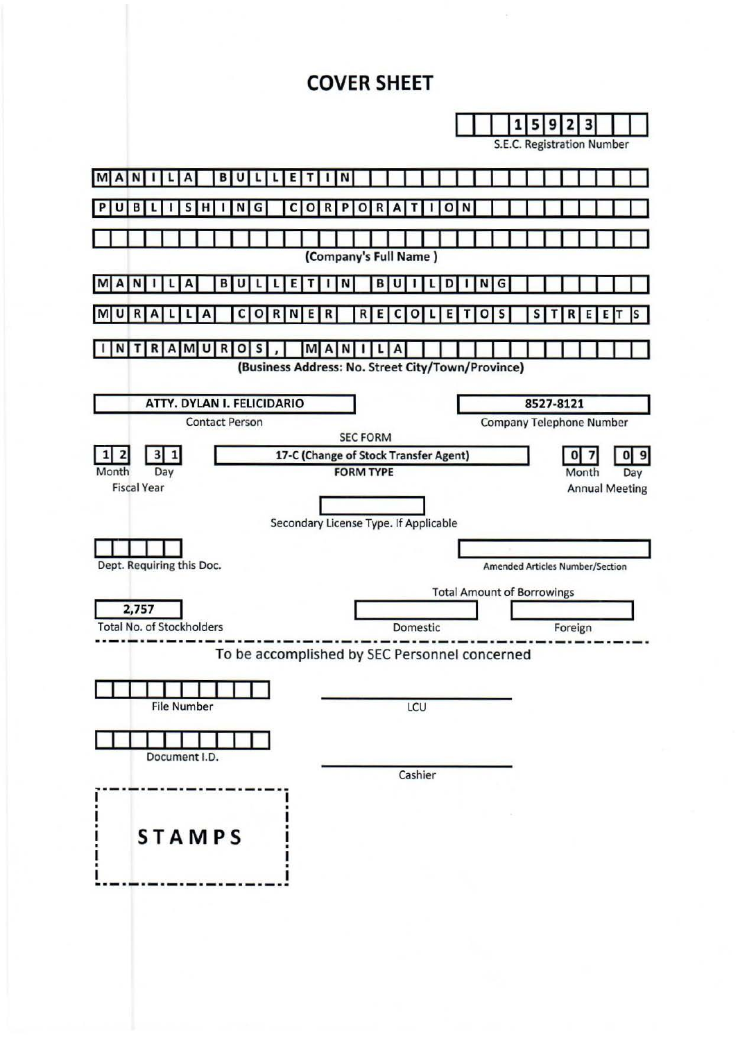# **COVER SHEET**

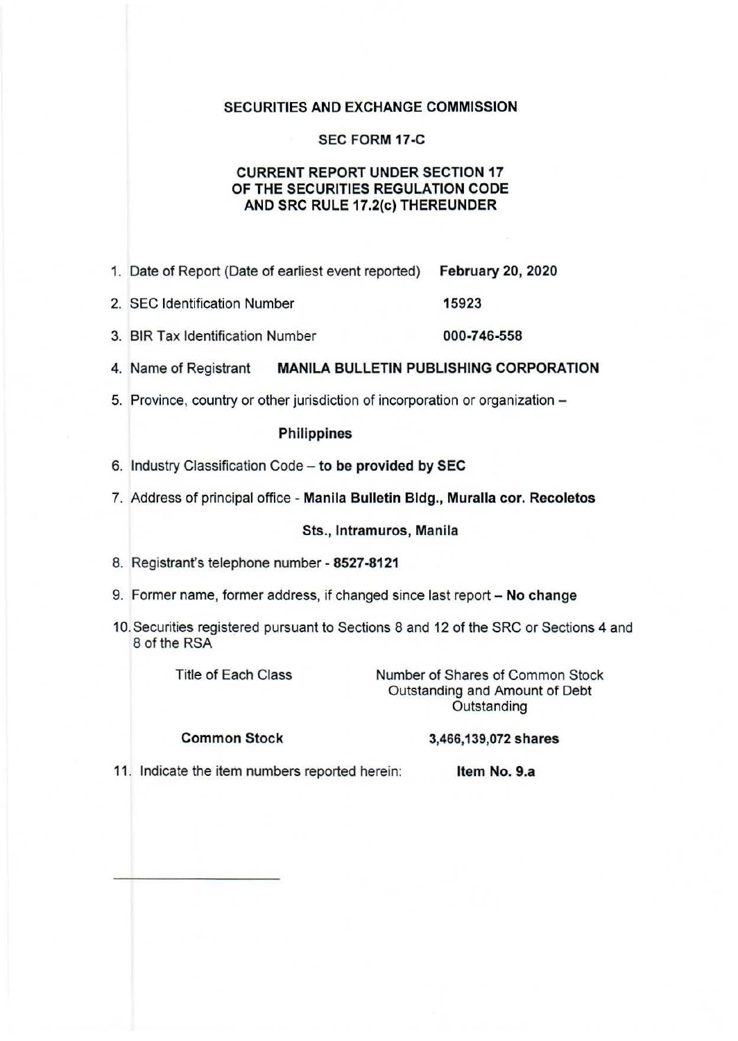## SECURITIES AND EXCHANGE COMMISSION

# SEC FORM 17-C

# CURRENT REPORT UNDER SECTION 17 OF THE SECURITIES REGULATION CODE AND SRC RULE 17.2(c) THEREUNDER

- 1. Date of Report (Date of earliest event reported) February 20, 2020
- 2. SEC Identification Number 15923
- 3. BIR Tax Identification Number 000-746-558
- 4. Name of Registrant MANILA BULLETIN PUBLISHING CORPORATION
- 5. Province, country or other jurisdiction of incorporation or organization -

#### **Philippines**

- 6. Industry Classification Code to be provided by SEC
- 7. Address of principal office Manila Bulletin Bldg., Muralla cor. Recoletos

#### Sts., lntramuros, Manila

- 8. Registrant's telephone number 8527-8121
- 9. Former name, former address, if changed since last report No change
- 10. Securities registered pursuant to Sections 8 and 12 of the SRC or Sections 4 and 8 of the RSA

Title of Each Class

Number of Shares of Common Stock Outstanding and Amount of Debt **Outstanding** 

## Common Stock

# 3,466,139,072 shares

11. Indicate the item numbers reported herein: Item No. 9.a